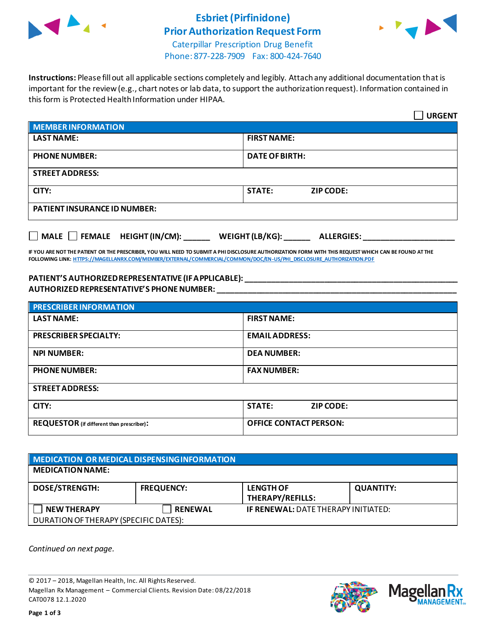

### **Esbriet(Pirfinidone) Prior Authorization Request Form**



Caterpillar Prescription Drug Benefit Phone: 877-228-7909 Fax: 800-424-7640

**Instructions:** Please fill out all applicable sections completely and legibly. Attach any additional documentation that is important for the review (e.g., chart notes or lab data, to support the authorization request). Information contained in this form is Protected Health Information under HIPAA.

|                                                                                               | <b>URGENT</b>                     |  |  |  |
|-----------------------------------------------------------------------------------------------|-----------------------------------|--|--|--|
| <b>MEMBER INFORMATION</b>                                                                     |                                   |  |  |  |
| <b>LAST NAME:</b>                                                                             | <b>FIRST NAME:</b>                |  |  |  |
| <b>PHONE NUMBER:</b>                                                                          | <b>DATE OF BIRTH:</b>             |  |  |  |
| <b>STREET ADDRESS:</b>                                                                        |                                   |  |  |  |
| CITY:                                                                                         | <b>STATE:</b><br><b>ZIP CODE:</b> |  |  |  |
| <b>PATIENT INSURANCE ID NUMBER:</b>                                                           |                                   |  |  |  |
| $\Box$ MALE $\Box$ FEMALE HEIGHT (IN/CM): ______<br>WEIGHT (LB/KG): $\_$<br><b>ALLERGIES:</b> |                                   |  |  |  |

**IF YOU ARE NOT THE PATIENT OR THE PRESCRIBER, YOU WILL NEED TO SUBMIT A PHI DISCLOSURE AUTHORIZATION FORM WITH THIS REQUEST WHICH CAN BE FOUND AT THE FOLLOWING LINK[: HTTPS://MAGELLANRX.COM/MEMBER/EXTERNAL/COMMERCIAL/COMMON/DOC/EN-US/PHI\\_DISCLOSURE\\_AUTHORIZATION.PDF](https://magellanrx.com/member/external/commercial/common/doc/en-us/PHI_Disclosure_Authorization.pdf)**

#### **PATIENT'S AUTHORIZED REPRESENTATIVE (IF APPLICABLE): \_\_\_\_\_\_\_\_\_\_\_\_\_\_\_\_\_\_\_\_\_\_\_\_\_\_\_\_\_\_\_\_\_\_\_\_\_\_\_\_\_\_\_\_\_\_\_\_\_ AUTHORIZED REPRESENTATIVE'S PHONE NUMBER: \_\_\_\_\_\_\_\_\_\_\_\_\_\_\_\_\_\_\_\_\_\_\_\_\_\_\_\_\_\_\_\_\_\_\_\_\_\_\_\_\_\_\_\_\_\_\_\_\_\_\_\_\_\_\_**

| <b>PRESCRIBER INFORMATION</b>             |                                   |  |  |  |
|-------------------------------------------|-----------------------------------|--|--|--|
| <b>LAST NAME:</b>                         | <b>FIRST NAME:</b>                |  |  |  |
| <b>PRESCRIBER SPECIALTY:</b>              | <b>EMAIL ADDRESS:</b>             |  |  |  |
| <b>NPI NUMBER:</b>                        | <b>DEA NUMBER:</b>                |  |  |  |
| <b>PHONE NUMBER:</b>                      | <b>FAX NUMBER:</b>                |  |  |  |
| <b>STREET ADDRESS:</b>                    |                                   |  |  |  |
| CITY:                                     | <b>STATE:</b><br><b>ZIP CODE:</b> |  |  |  |
| REQUESTOR (if different than prescriber): | <b>OFFICE CONTACT PERSON:</b>     |  |  |  |

| MEDICATION OR MEDICAL DISPENSING INFORMATION |                   |                                            |                  |  |  |
|----------------------------------------------|-------------------|--------------------------------------------|------------------|--|--|
| <b>MEDICATION NAME:</b>                      |                   |                                            |                  |  |  |
| <b>DOSE/STRENGTH:</b>                        | <b>FREQUENCY:</b> | <b>LENGTH OF</b><br>THERAPY/REFILLS:       | <b>QUANTITY:</b> |  |  |
| <b>NEW THERAPY</b>                           | <b>RENEWAL</b>    | <b>IF RENEWAL: DATE THERAPY INITIATED:</b> |                  |  |  |
| DURATION OF THERAPY (SPECIFIC DATES):        |                   |                                            |                  |  |  |

*Continued on next page.*

© 2017 – 2018, Magellan Health, Inc. All Rights Reserved. Magellan Rx Management – Commercial Clients. Revision Date: 08/22/2018 CAT0078 12.1.2020



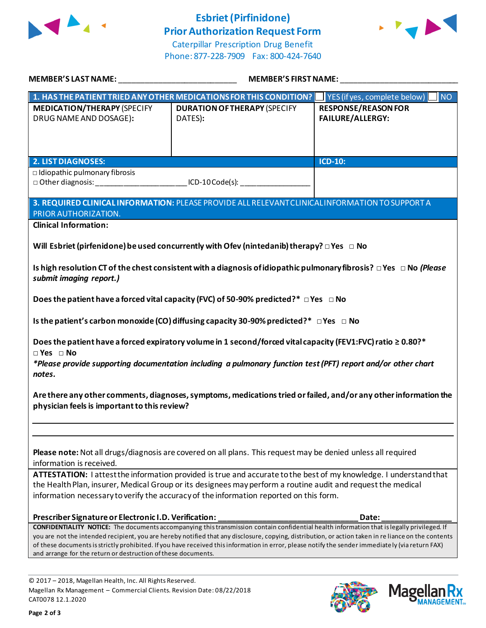

## **Esbriet(Pirfinidone) Prior Authorization Request Form**



Caterpillar Prescription Drug Benefit Phone: 877-228-7909 Fax: 800-424-7640

| MEMBER'S LAST NAME: NAME AND A SERIES AND A SERIES OF STREET AND A STREET AND A STREET AND A STREET AND A STRE                                                                                                                                                                                                              | <b>MEMBER'S FIRST NAME:</b>                                                                                                                                                                                                                                                                                                                                                                                                                             |                                                       |  |  |
|-----------------------------------------------------------------------------------------------------------------------------------------------------------------------------------------------------------------------------------------------------------------------------------------------------------------------------|---------------------------------------------------------------------------------------------------------------------------------------------------------------------------------------------------------------------------------------------------------------------------------------------------------------------------------------------------------------------------------------------------------------------------------------------------------|-------------------------------------------------------|--|--|
|                                                                                                                                                                                                                                                                                                                             | 1. HAS THE PATIENT TRIED ANY OTHER MEDICATIONS FOR THIS CONDITION?   YES (if yes, complete below)                                                                                                                                                                                                                                                                                                                                                       | <b>NO</b>                                             |  |  |
| <b>MEDICATION/THERAPY (SPECIFY</b><br>DRUG NAME AND DOSAGE):                                                                                                                                                                                                                                                                | <b>DURATION OF THERAPY (SPECIFY</b><br>DATES):                                                                                                                                                                                                                                                                                                                                                                                                          | <b>RESPONSE/REASON FOR</b><br><b>FAILURE/ALLERGY:</b> |  |  |
|                                                                                                                                                                                                                                                                                                                             |                                                                                                                                                                                                                                                                                                                                                                                                                                                         |                                                       |  |  |
| <b>2. LIST DIAGNOSES:</b>                                                                                                                                                                                                                                                                                                   |                                                                                                                                                                                                                                                                                                                                                                                                                                                         | <b>ICD-10:</b>                                        |  |  |
| $\Box$ Idiopathic pulmonary fibrosis                                                                                                                                                                                                                                                                                        | □ Other diagnosis: _____________________________ICD-10 Code(s): _______________                                                                                                                                                                                                                                                                                                                                                                         |                                                       |  |  |
| PRIOR AUTHORIZATION.                                                                                                                                                                                                                                                                                                        | 3. REQUIRED CLINICAL INFORMATION: PLEASE PROVIDE ALL RELEVANT CLINICAL INFORMATION TO SUPPORT A                                                                                                                                                                                                                                                                                                                                                         |                                                       |  |  |
| <b>Clinical Information:</b>                                                                                                                                                                                                                                                                                                |                                                                                                                                                                                                                                                                                                                                                                                                                                                         |                                                       |  |  |
| Will Esbriet (pirfenidone) be used concurrently with Ofev (nintedanib) therapy? $\Box$ Yes $\Box$ No<br>Is high resolution CT of the chest consistent with a diagnosis of idiopathic pulmonary fibrosis? $\Box$ Yes $\Box$ No (Please<br>submit imaging report.)                                                            |                                                                                                                                                                                                                                                                                                                                                                                                                                                         |                                                       |  |  |
| Does the patient have a forced vital capacity (FVC) of 50-90% predicted?* $\Box$ Yes $\Box$ No                                                                                                                                                                                                                              |                                                                                                                                                                                                                                                                                                                                                                                                                                                         |                                                       |  |  |
|                                                                                                                                                                                                                                                                                                                             | Is the patient's carbon monoxide (CO) diffusing capacity 30-90% predicted?* $\Box$ Yes $\Box$ No                                                                                                                                                                                                                                                                                                                                                        |                                                       |  |  |
| Does the patient have a forced expiratory volume in 1 second/forced vital capacity (FEV1:FVC) ratio $\geq 0.80$ ?*<br>$\Box$ Yes $\Box$ No<br>*Please provide supporting documentation including a pulmonary function test (PFT) report and/or other chart<br>notes.                                                        |                                                                                                                                                                                                                                                                                                                                                                                                                                                         |                                                       |  |  |
| Are there any other comments, diagnoses, symptoms, medications tried or failed, and/or any other information the<br>physician feels is important to this review?                                                                                                                                                            |                                                                                                                                                                                                                                                                                                                                                                                                                                                         |                                                       |  |  |
|                                                                                                                                                                                                                                                                                                                             |                                                                                                                                                                                                                                                                                                                                                                                                                                                         |                                                       |  |  |
| Please note: Not all drugs/diagnosis are covered on all plans. This request may be denied unless all required<br>information is received.                                                                                                                                                                                   |                                                                                                                                                                                                                                                                                                                                                                                                                                                         |                                                       |  |  |
| ATTESTATION: lattest the information provided is true and accurate to the best of my knowledge. I understand that<br>the Health Plan, insurer, Medical Group or its designees may perform a routine audit and request the medical<br>information necessary to verify the accuracy of the information reported on this form. |                                                                                                                                                                                                                                                                                                                                                                                                                                                         |                                                       |  |  |
| Prescriber Signature or Electronic I.D. Verification:                                                                                                                                                                                                                                                                       |                                                                                                                                                                                                                                                                                                                                                                                                                                                         | Date:                                                 |  |  |
| and arrange for the return or destruction of these documents.                                                                                                                                                                                                                                                               | CONFIDENTIALITY NOTICE: The documents accompanying this transmission contain confidential health information that is legally privileged. If<br>you are not the intended recipient, you are hereby notified that any disclosure, copying, distribution, or action taken in re liance on the contents<br>of these documents is strictly prohibited. If you have received this information in error, please notify the sender immediately (via return FAX) |                                                       |  |  |

© 2017 – 2018, Magellan Health, Inc. All Rights Reserved. Magellan Rx Management – Commercial Clients. Revision Date: 08/22/2018 CAT0078 12.1.2020